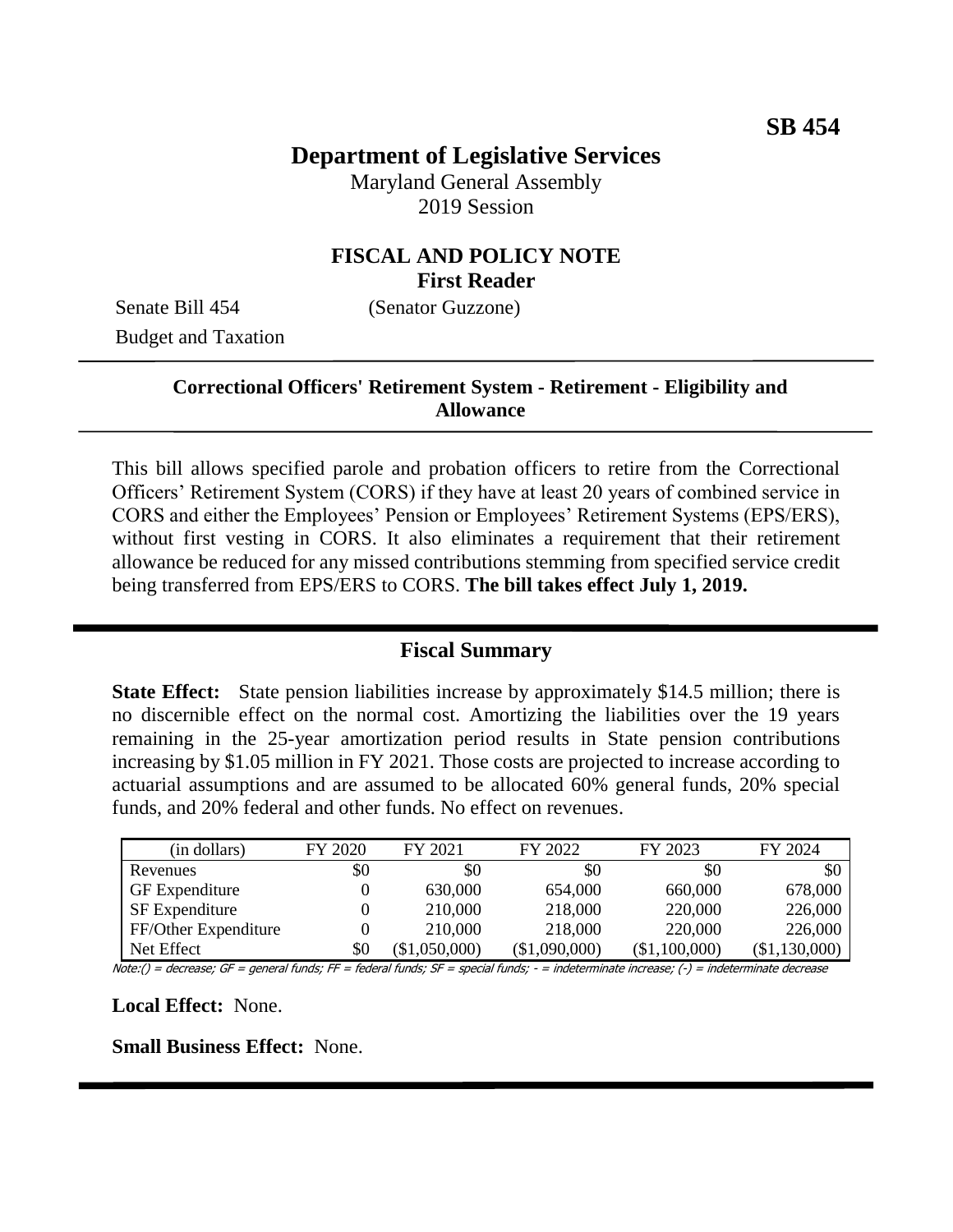## **Department of Legislative Services**

Maryland General Assembly 2019 Session

### **FISCAL AND POLICY NOTE First Reader**

Senate Bill 454 (Senator Guzzone) Budget and Taxation

### **Correctional Officers' Retirement System - Retirement - Eligibility and Allowance**

This bill allows specified parole and probation officers to retire from the Correctional Officers' Retirement System (CORS) if they have at least 20 years of combined service in CORS and either the Employees' Pension or Employees' Retirement Systems (EPS/ERS), without first vesting in CORS. It also eliminates a requirement that their retirement allowance be reduced for any missed contributions stemming from specified service credit being transferred from EPS/ERS to CORS. **The bill takes effect July 1, 2019.**

#### **Fiscal Summary**

**State Effect:** State pension liabilities increase by approximately \$14.5 million; there is no discernible effect on the normal cost. Amortizing the liabilities over the 19 years remaining in the 25-year amortization period results in State pension contributions increasing by \$1.05 million in FY 2021. Those costs are projected to increase according to actuarial assumptions and are assumed to be allocated 60% general funds, 20% special funds, and 20% federal and other funds. No effect on revenues.

| (in dollars)          | FY 2020 | FY 2021     | FY 2022       | FY 2023       | FY 2024       |
|-----------------------|---------|-------------|---------------|---------------|---------------|
| Revenues              | \$0     | \$0         | \$0           | \$0           | \$0           |
| <b>GF</b> Expenditure |         | 630,000     | 654,000       | 660,000       | 678,000       |
| <b>SF</b> Expenditure |         | 210,000     | 218,000       | 220,000       | 226,000       |
| FF/Other Expenditure  |         | 210,000     | 218,000       | 220,000       | 226,000       |
| Net Effect            | \$0     | \$1,050,000 | (\$1,090,000) | (\$1,100,000) | (\$1,130,000) |

Note:() = decrease; GF = general funds; FF = federal funds; SF = special funds; - = indeterminate increase; (-) = indeterminate decrease

**Local Effect:** None.

**Small Business Effect:** None.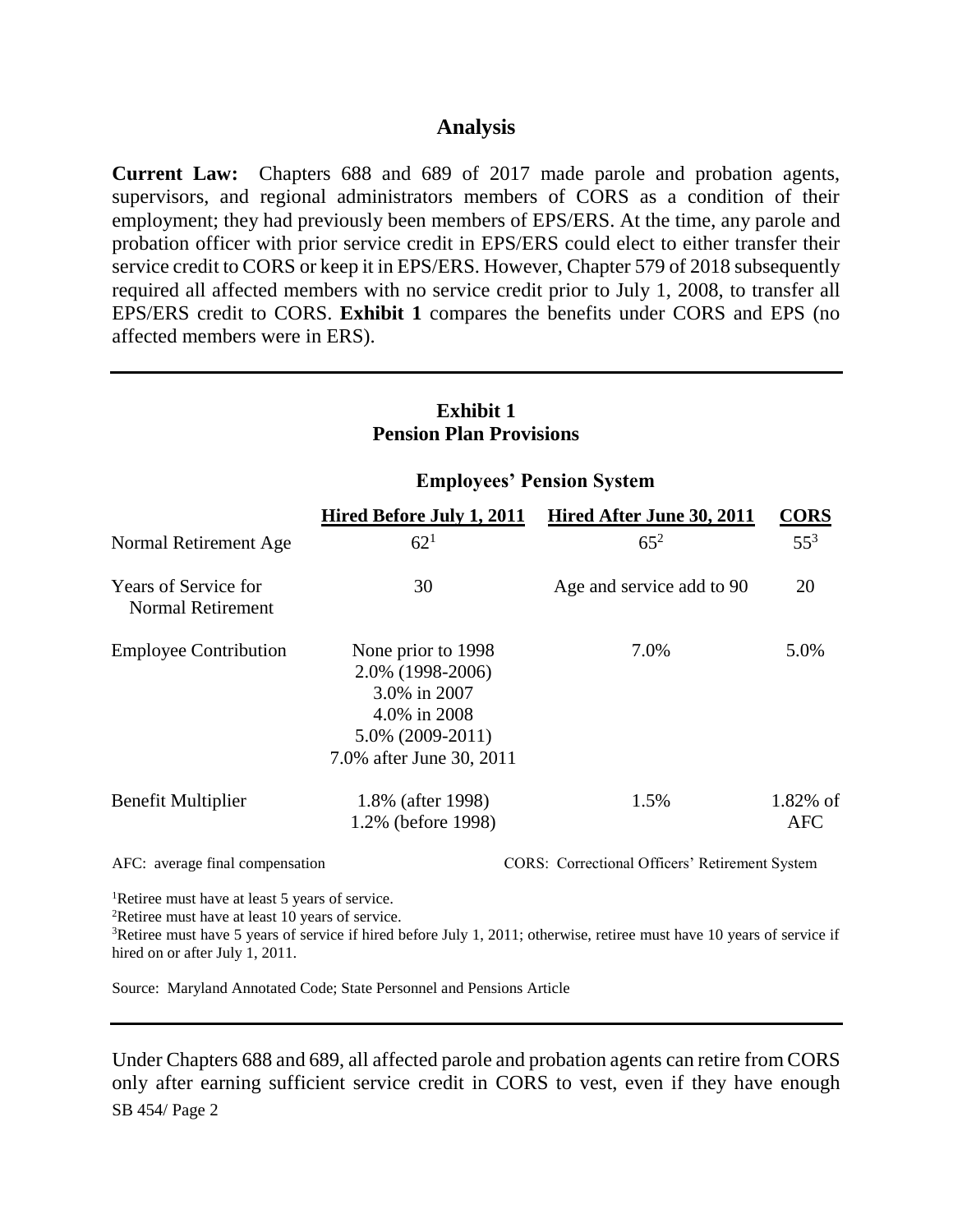#### **Analysis**

**Current Law:** Chapters 688 and 689 of 2017 made parole and probation agents, supervisors, and regional administrators members of CORS as a condition of their employment; they had previously been members of EPS/ERS. At the time, any parole and probation officer with prior service credit in EPS/ERS could elect to either transfer their service credit to CORS or keep it in EPS/ERS. However, Chapter 579 of 2018 subsequently required all affected members with no service credit prior to July 1, 2008, to transfer all EPS/ERS credit to CORS. **Exhibit 1** compares the benefits under CORS and EPS (no affected members were in ERS).

| <b>Exhibit 1</b><br><b>Pension Plan Provisions</b> |                                                                                                                           |                           |                           |  |  |  |
|----------------------------------------------------|---------------------------------------------------------------------------------------------------------------------------|---------------------------|---------------------------|--|--|--|
|                                                    | <b>Employees' Pension System</b>                                                                                          |                           |                           |  |  |  |
|                                                    | Hired Before July 1, 2011                                                                                                 | Hired After June 30, 2011 | <b>CORS</b>               |  |  |  |
| Normal Retirement Age                              | $62^{1}$                                                                                                                  | $65^{2}$                  | $55^3$                    |  |  |  |
| <b>Years of Service for</b><br>Normal Retirement   | 30                                                                                                                        | Age and service add to 90 | 20                        |  |  |  |
| <b>Employee Contribution</b>                       | None prior to 1998<br>2.0% (1998-2006)<br>3.0% in 2007<br>4.0% in 2008<br>$5.0\%$ (2009-2011)<br>7.0% after June 30, 2011 | 7.0%                      | 5.0%                      |  |  |  |
| Benefit Multiplier                                 | 1.8% (after 1998)<br>1.2% (before 1998)                                                                                   | 1.5%                      | $1.82\%$ of<br><b>AFC</b> |  |  |  |

# **Exhibit 1**

AFC: average final compensation CORS: Correctional Officers' Retirement System

<sup>1</sup>Retiree must have at least 5 years of service.

<sup>2</sup>Retiree must have at least 10 years of service.

<sup>3</sup>Retiree must have 5 years of service if hired before July 1, 2011; otherwise, retiree must have 10 years of service if hired on or after July 1, 2011.

Source: Maryland Annotated Code; State Personnel and Pensions Article

SB 454/ Page 2 Under Chapters 688 and 689, all affected parole and probation agents can retire from CORS only after earning sufficient service credit in CORS to vest, even if they have enough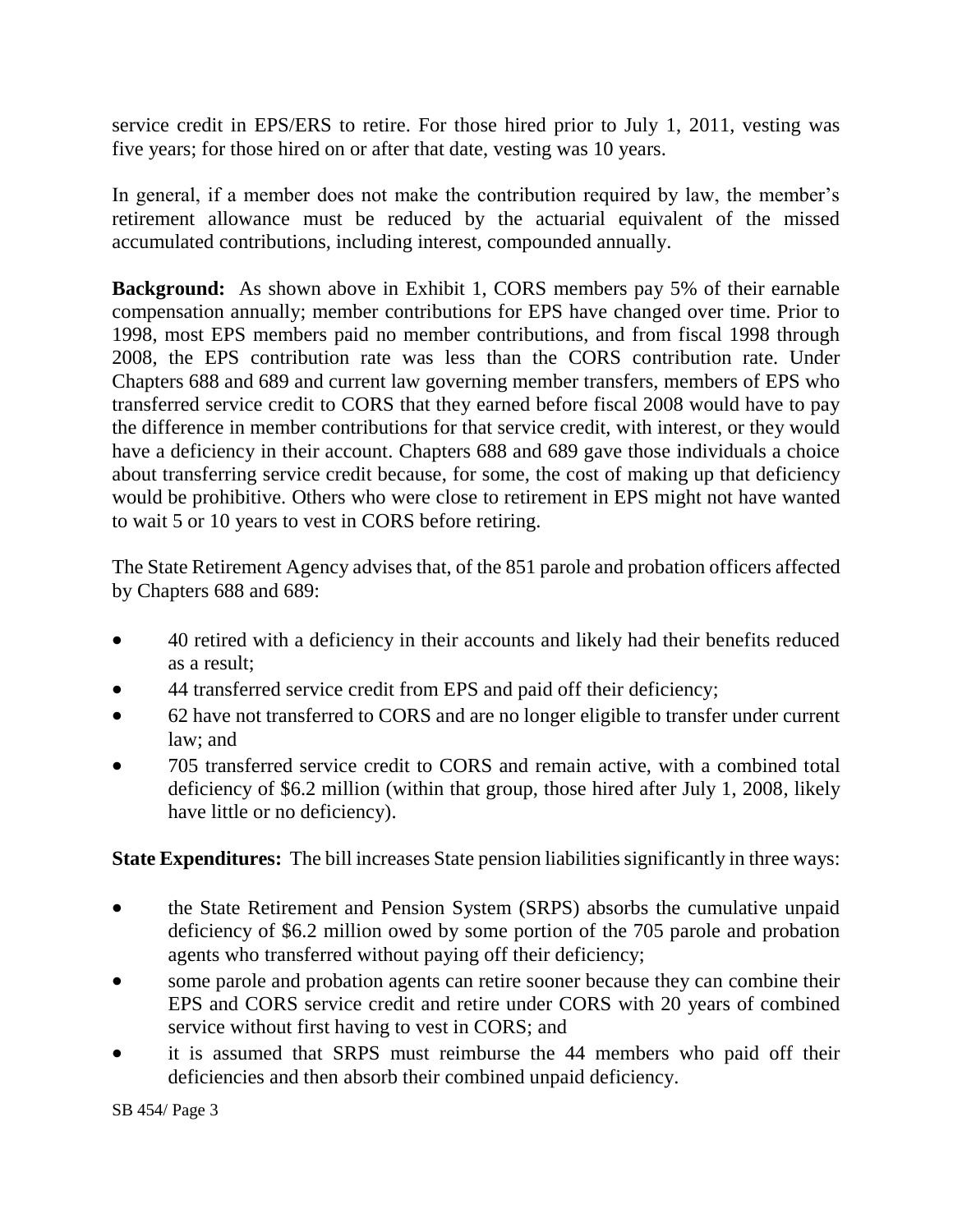service credit in EPS/ERS to retire. For those hired prior to July 1, 2011, vesting was five years; for those hired on or after that date, vesting was 10 years.

In general, if a member does not make the contribution required by law, the member's retirement allowance must be reduced by the actuarial equivalent of the missed accumulated contributions, including interest, compounded annually.

**Background:** As shown above in Exhibit 1, CORS members pay 5% of their earnable compensation annually; member contributions for EPS have changed over time. Prior to 1998, most EPS members paid no member contributions, and from fiscal 1998 through 2008, the EPS contribution rate was less than the CORS contribution rate. Under Chapters 688 and 689 and current law governing member transfers, members of EPS who transferred service credit to CORS that they earned before fiscal 2008 would have to pay the difference in member contributions for that service credit, with interest, or they would have a deficiency in their account. Chapters 688 and 689 gave those individuals a choice about transferring service credit because, for some, the cost of making up that deficiency would be prohibitive. Others who were close to retirement in EPS might not have wanted to wait 5 or 10 years to vest in CORS before retiring.

The State Retirement Agency advises that, of the 851 parole and probation officers affected by Chapters 688 and 689:

- 40 retired with a deficiency in their accounts and likely had their benefits reduced as a result;
- 44 transferred service credit from EPS and paid off their deficiency;
- 62 have not transferred to CORS and are no longer eligible to transfer under current law; and
- 705 transferred service credit to CORS and remain active, with a combined total deficiency of \$6.2 million (within that group, those hired after July 1, 2008, likely have little or no deficiency).

**State Expenditures:** The bill increases State pension liabilities significantly in three ways:

- the State Retirement and Pension System (SRPS) absorbs the cumulative unpaid deficiency of \$6.2 million owed by some portion of the 705 parole and probation agents who transferred without paying off their deficiency;
- some parole and probation agents can retire sooner because they can combine their EPS and CORS service credit and retire under CORS with 20 years of combined service without first having to vest in CORS; and
- it is assumed that SRPS must reimburse the 44 members who paid off their deficiencies and then absorb their combined unpaid deficiency.

SB 454/ Page 3